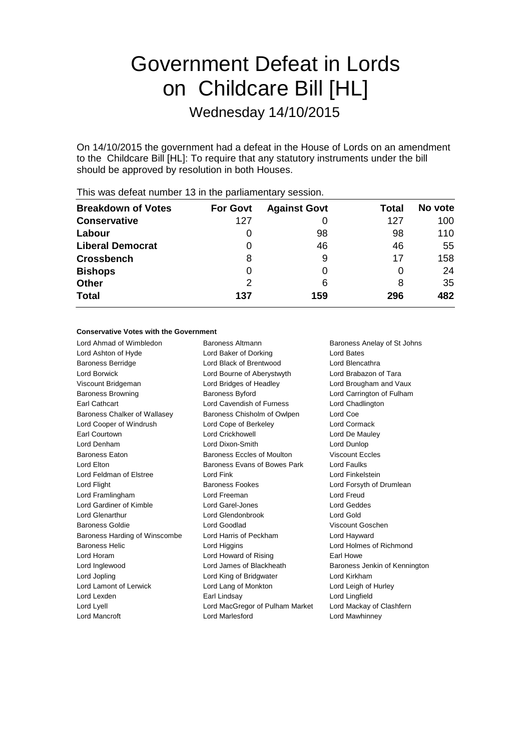# Government Defeat in Lords on Childcare Bill [HL]

Wednesday 14/10/2015

On 14/10/2015 the government had a defeat in the House of Lords on an amendment to the Childcare Bill [HL]: To require that any statutory instruments under the bill should be approved by resolution in both Houses.

| <b>Breakdown of Votes</b> | <b>For Govt</b> | <b>Against Govt</b> | Total | No vote |  |
|---------------------------|-----------------|---------------------|-------|---------|--|
| <b>Conservative</b>       | 127             |                     | 127   | 100     |  |
| Labour                    |                 | 98                  | 98    | 110     |  |
| <b>Liberal Democrat</b>   | $\Omega$        | 46                  | 46    | 55      |  |
| <b>Crossbench</b>         | 8               | 9                   | 17    | 158     |  |
| <b>Bishops</b>            | O               |                     | O     | 24      |  |
| <b>Other</b>              | 2               | 6                   | 8     | 35      |  |
| <b>Total</b>              | 137             | 159                 | 296   | 482     |  |
|                           |                 |                     |       |         |  |

This was defeat number 13 in the parliamentary session.

#### **Conservative Votes with the Government**

| Lord Ahmad of Wimbledon       | Baroness Altmann                | Baroness Anelay of St Johns   |
|-------------------------------|---------------------------------|-------------------------------|
| Lord Ashton of Hyde           | Lord Baker of Dorking           | Lord Bates                    |
| <b>Baroness Berridge</b>      | Lord Black of Brentwood         | Lord Blencathra               |
| Lord Borwick                  | Lord Bourne of Aberystwyth      | Lord Brabazon of Tara         |
| Viscount Bridgeman            | Lord Bridges of Headley         | Lord Brougham and Vaux        |
| <b>Baroness Browning</b>      | <b>Baroness Byford</b>          | Lord Carrington of Fulham     |
| Earl Cathcart                 | Lord Cavendish of Furness       | Lord Chadlington              |
| Baroness Chalker of Wallasey  | Baroness Chisholm of Owlpen     | Lord Coe                      |
| Lord Cooper of Windrush       | Lord Cope of Berkeley           | Lord Cormack                  |
| Earl Courtown                 | <b>Lord Crickhowell</b>         | Lord De Mauley                |
| Lord Denham                   | Lord Dixon-Smith                | Lord Dunlop                   |
| <b>Baroness Eaton</b>         | Baroness Eccles of Moulton      | Viscount Eccles               |
| Lord Elton                    | Baroness Evans of Bowes Park    | Lord Faulks                   |
| Lord Feldman of Elstree       | Lord Fink                       | Lord Finkelstein              |
| Lord Flight                   | <b>Baroness Fookes</b>          | Lord Forsyth of Drumlean      |
| Lord Framlingham              | Lord Freeman                    | <b>Lord Freud</b>             |
| Lord Gardiner of Kimble       | Lord Garel-Jones                | <b>Lord Geddes</b>            |
| <b>Lord Glenarthur</b>        | Lord Glendonbrook               | <b>Lord Gold</b>              |
| Baroness Goldie               | Lord Goodlad                    | Viscount Goschen              |
| Baroness Harding of Winscombe | Lord Harris of Peckham          | Lord Hayward                  |
| <b>Baroness Helic</b>         | Lord Higgins                    | Lord Holmes of Richmond       |
| Lord Horam                    | Lord Howard of Rising           | Earl Howe                     |
| Lord Inglewood                | Lord James of Blackheath        | Baroness Jenkin of Kennington |
| Lord Jopling                  | Lord King of Bridgwater         | Lord Kirkham                  |
| Lord Lamont of Lerwick        | Lord Lang of Monkton            | Lord Leigh of Hurley          |
| Lord Lexden                   | Earl Lindsay                    | Lord Lingfield                |
| Lord Lyell                    | Lord MacGregor of Pulham Market | Lord Mackay of Clashfern      |
| <b>Lord Mancroft</b>          | <b>Lord Marlesford</b>          | Lord Mawhinney                |
|                               |                                 |                               |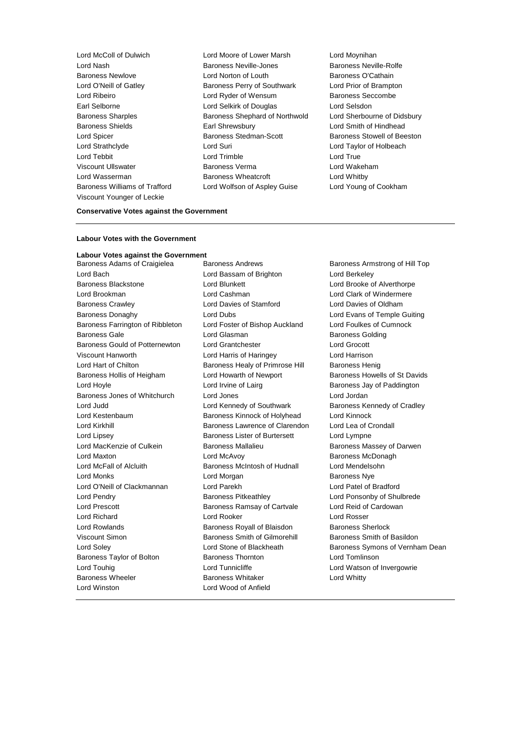Lord McColl of Dulwich Lord Moore of Lower Marsh Lord Moynihan Lord Nash Baroness Neville-Jones Baroness Neville-Rolfe Baroness Newlove Lord Norton of Louth Baroness O'Cathain Lord O'Neill of Gatley Baroness Perry of Southwark Lord Prior of Brampton Lord Ribeiro Lord Ryder of Wensum Baroness Seccombe Earl Selborne Lord Selkirk of Douglas Lord Selsdon Baroness Sharples Baroness Shephard of Northwold Lord Sherbourne of Didsbury Baroness Shields **Earl Shrewsbury** Earl Shrewsbury **Lord Smith of Hindhead** Lord Spicer **Baroness Stedman-Scott** Baroness Stowell of Beeston Lord Strathclyde Lord Suri Lord Taylor of Holbeach Lord Tebbit Lord Trimble Lord True Viscount Ullswater Baroness Verma Lord Wakeham Lord Wasserman Baroness Wheatcroft Lord Whitby Baroness Williams of Trafford Lord Wolfson of Aspley Guise Lord Young of Cookham Viscount Younger of Leckie

#### **Conservative Votes against the Government**

## **Labour Votes with the Government**

#### **Labour Votes against the Government**

Lord Bach Lord Bassam of Brighton Lord Berkeley Baroness Blackstone **Lord Blunkett** Lord Brooke of Alverthorpe Lord Brookman Lord Cashman Lord Clark of Windermere Baroness Crawley Lord Davies of Stamford Lord Davies of Oldham Baroness Donaghy **Lord Dubs** Lord Evans of Temple Guiting Baroness Farrington of Ribbleton Lord Foster of Bishop Auckland Lord Foulkes of Cumnock Baroness Gale **Communist Communist Communist Communist Communist Communist Communist Communist Communist Communist Communist Communist Communist Communist Communist Communist Communist Communist Communist Communist Communi** Baroness Gould of Potternewton Lord Grantchester Lord Grocott Viscount Hanworth Lord Harris of Haringey Lord Harrison Lord Hart of Chilton **Baroness Healy of Primrose Hill** Baroness Henig Baroness Hollis of Heigham Lord Howarth of Newport Baroness Howells of St Davids Lord Hoyle **Lord Irvine of Lairg** Baroness Jay of Paddington Baroness Jones of Whitchurch Lord Jones Lord Jordan Lord Judd **Lord Kennedy of Southwark** Baroness Kennedy of Cradley Lord Kestenbaum Baroness Kinnock of Holyhead Lord Kinnock Lord Kirkhill Baroness Lawrence of Clarendon Lord Lea of Crondall Lord Lipsey **Baroness Lister of Burtersett** Lord Lympne Lord MacKenzie of Culkein **Baroness Mallalieu** Baroness Massey of Darwen Lord Maxton **Lord McAvoy Baroness McDonagh** Lord McFall of Alcluith Baroness McIntosh of Hudnall Lord Mendelsohn Lord Monks **Lord Mongan** Baroness Nye Lord O'Neill of Clackmannan Lord Parekh Lord Patel of Bradford Lord Pendry Baroness Pitkeathley Lord Ponsonby of Shulbrede Lord Prescott **Baroness Ramsay of Cartvale** Lord Reid of Cardowan Lord Richard Lord Rooker Lord Rosser Lord Rowlands Baroness Royall of Blaisdon Baroness Sherlock Viscount Simon Baroness Smith of Gilmorehill Baroness Smith of Basildon Baroness Taylor of Bolton Baroness Thornton Lord Tomlinson Lord Touhig **Lord Tunnicliffe** Lord Tunnicliffe Lord Watson of Invergowrie Baroness Wheeler **Baroness Whitaker** Lord Whitty Lord Winston Lord Wood of Anfield

Baroness Adams of Craigielea Baroness Andrews Baroness Armstrong of Hill Top

Lord Soley **Lord Stone of Blackheath** Baroness Symons of Vernham Dean